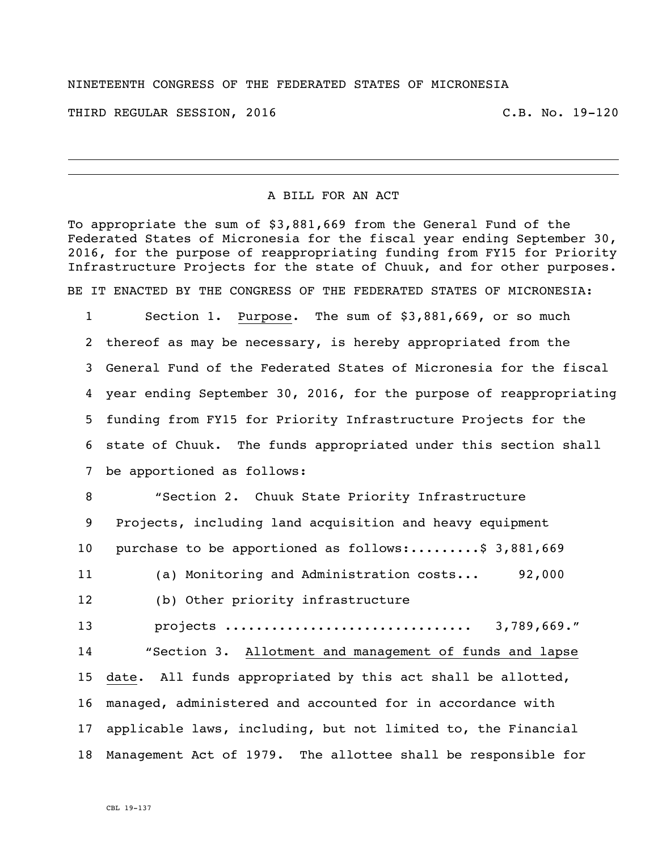## NINETEENTH CONGRESS OF THE FEDERATED STATES OF MICRONESIA

THIRD REGULAR SESSION, 2016 C.B. No. 19-120

## A BILL FOR AN ACT

To appropriate the sum of \$3,881,669 from the General Fund of the Federated States of Micronesia for the fiscal year ending September 30, 2016, for the purpose of reappropriating funding from FY15 for Priority Infrastructure Projects for the state of Chuuk, and for other purposes. BE IT ENACTED BY THE CONGRESS OF THE FEDERATED STATES OF MICRONESIA:

 Section 1. Purpose. The sum of \$3,881,669, or so much thereof as may be necessary, is hereby appropriated from the General Fund of the Federated States of Micronesia for the fiscal year ending September 30, 2016, for the purpose of reappropriating funding from FY15 for Priority Infrastructure Projects for the state of Chuuk. The funds appropriated under this section shall be apportioned as follows:

 "Section 2. Chuuk State Priority Infrastructure Projects, including land acquisition and heavy equipment 10 purchase to be apportioned as follows:.........\$ 3,881,669 (a) Monitoring and Administration costs... 92,000 (b) Other priority infrastructure projects ................................ 3,789,669." "Section 3. Allotment and management of funds and lapse date. All funds appropriated by this act shall be allotted, managed, administered and accounted for in accordance with applicable laws, including, but not limited to, the Financial Management Act of 1979. The allottee shall be responsible for